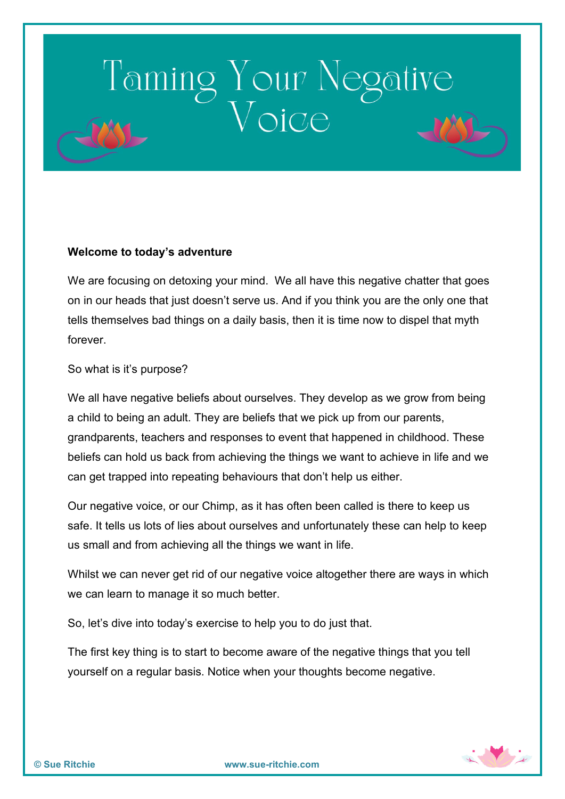### Taming Your Negative

### **Welcome to today's adventure**

We are focusing on detoxing your mind. We all have this negative chatter that goes on in our heads that just doesn't serve us. And if you think you are the only one that tells themselves bad things on a daily basis, then it is time now to dispel that myth forever.

#### So what is it's purpose?

We all have negative beliefs about ourselves. They develop as we grow from being a child to being an adult. They are beliefs that we pick up from our parents, grandparents, teachers and responses to event that happened in childhood. These beliefs can hold us back from achieving the things we want to achieve in life and we can get trapped into repeating behaviours that don't help us either.

Our negative voice, or our Chimp, as it has often been called is there to keep us safe. It tells us lots of lies about ourselves and unfortunately these can help to keep us small and from achieving all the things we want in life.

Whilst we can never get rid of our negative voice altogether there are ways in which we can learn to manage it so much better.

So, let's dive into today's exercise to help you to do just that.

The first key thing is to start to become aware of the negative things that you tell yourself on a regular basis. Notice when your thoughts become negative.

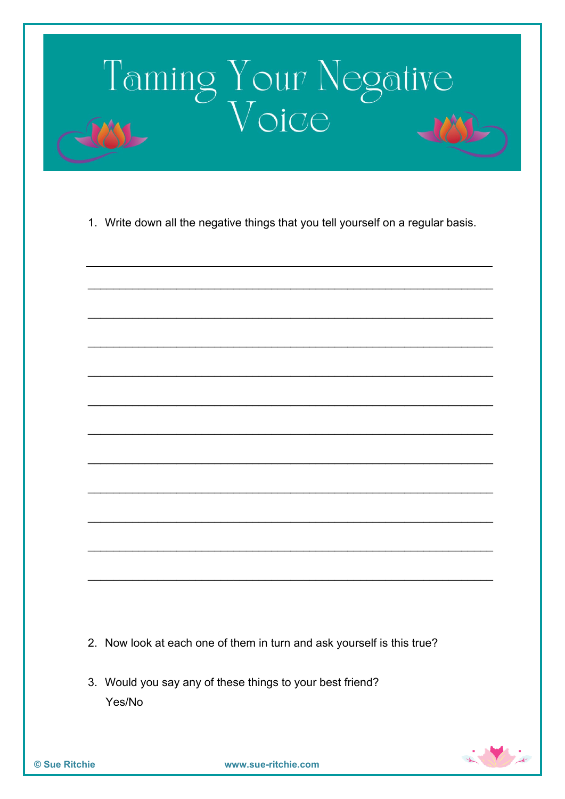

1. Write down all the negative things that you tell yourself on a regular basis.

- 2. Now look at each one of them in turn and ask yourself is this true?
- 3. Would you say any of these things to your best friend? Yes/No

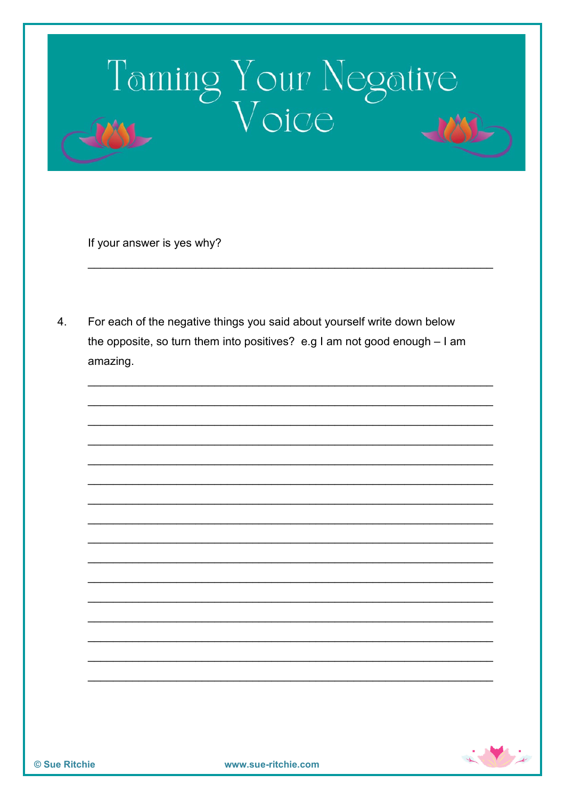# Taming Your Negative

If your answer is yes why?

 $\overline{4}$ . For each of the negative things you said about yourself write down below the opposite, so turn them into positives? e.g I am not good enough - I am amazing.